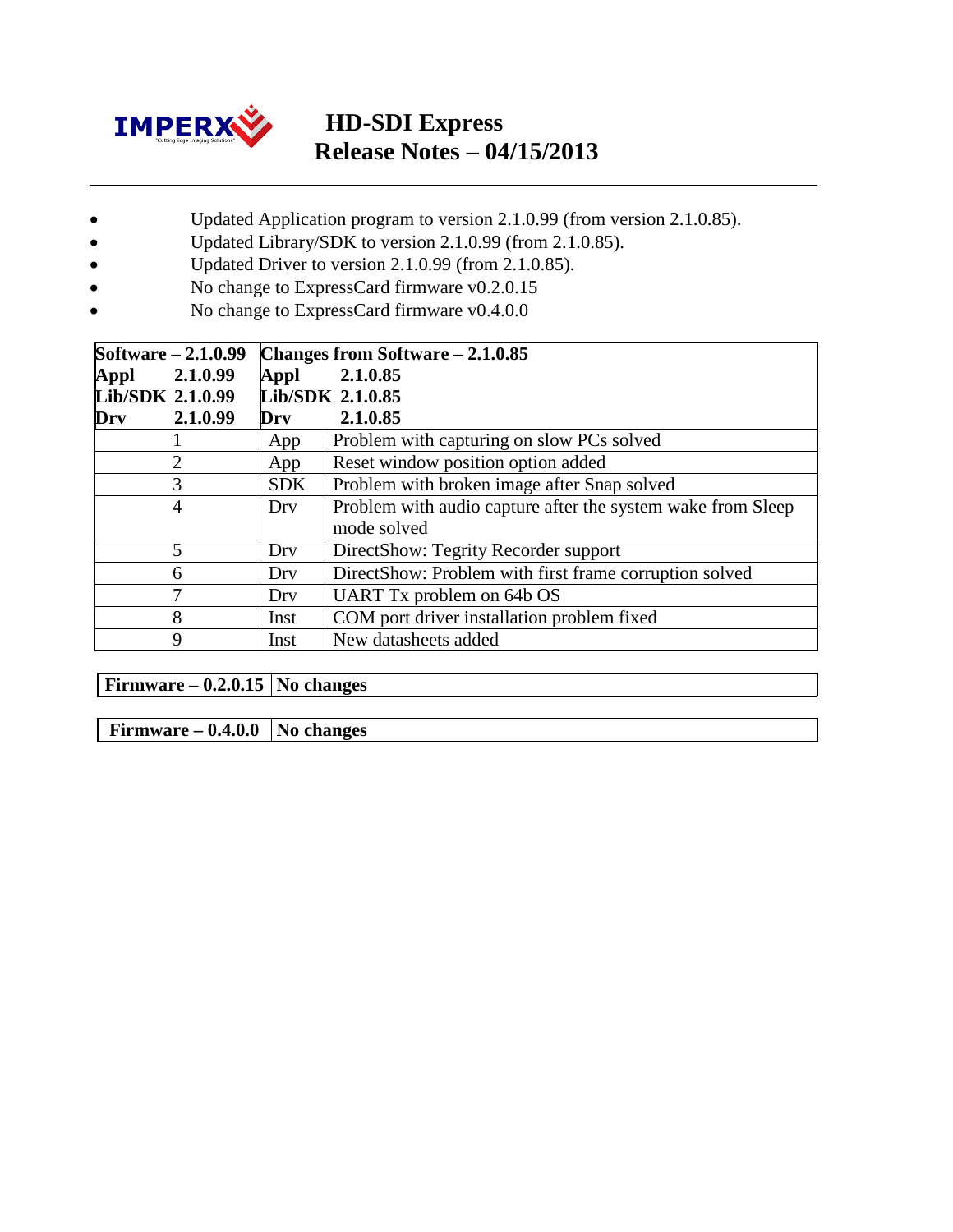

# **HD-SDI Express Release Notes – 04/15/2013**

- Updated Application program to version 2.1.0.99 (from version 2.1.0.85).
- Updated Library/SDK to version 2.1.0.99 (from 2.1.0.85).
- Updated Driver to version 2.1.0.99 (from 2.1.0.85).
- No change to ExpressCard firmware v0.2.0.15
- No change to ExpressCard firmware v0.4.0.0

| Software – 2.1.0.99 |            | Changes from Software $-2.1.0.85$                                          |
|---------------------|------------|----------------------------------------------------------------------------|
| 2.1.0.99<br>Appl    | Appl       | 2.1.0.85                                                                   |
| Lib/SDK 2.1.0.99    |            | Lib/SDK 2.1.0.85                                                           |
| 2.1.0.99<br>Drv     | Drv        | 2.1.0.85                                                                   |
|                     | App        | Problem with capturing on slow PCs solved                                  |
| 2                   | App        | Reset window position option added                                         |
| 3                   | <b>SDK</b> | Problem with broken image after Snap solved                                |
| $\overline{4}$      | Drv        | Problem with audio capture after the system wake from Sleep<br>mode solved |
| 5                   | Dry        | DirectShow: Tegrity Recorder support                                       |
| 6                   | Dry        | DirectShow: Problem with first frame corruption solved                     |
| 7                   | Dry        | UART Tx problem on 64b OS                                                  |
| 8                   | Inst       | COM port driver installation problem fixed                                 |
| 9                   | Inst       | New datasheets added                                                       |

**Firmware –**  $0.2.0.15$  **No changes** 

**Firmware – 0.4.0.0 No changes**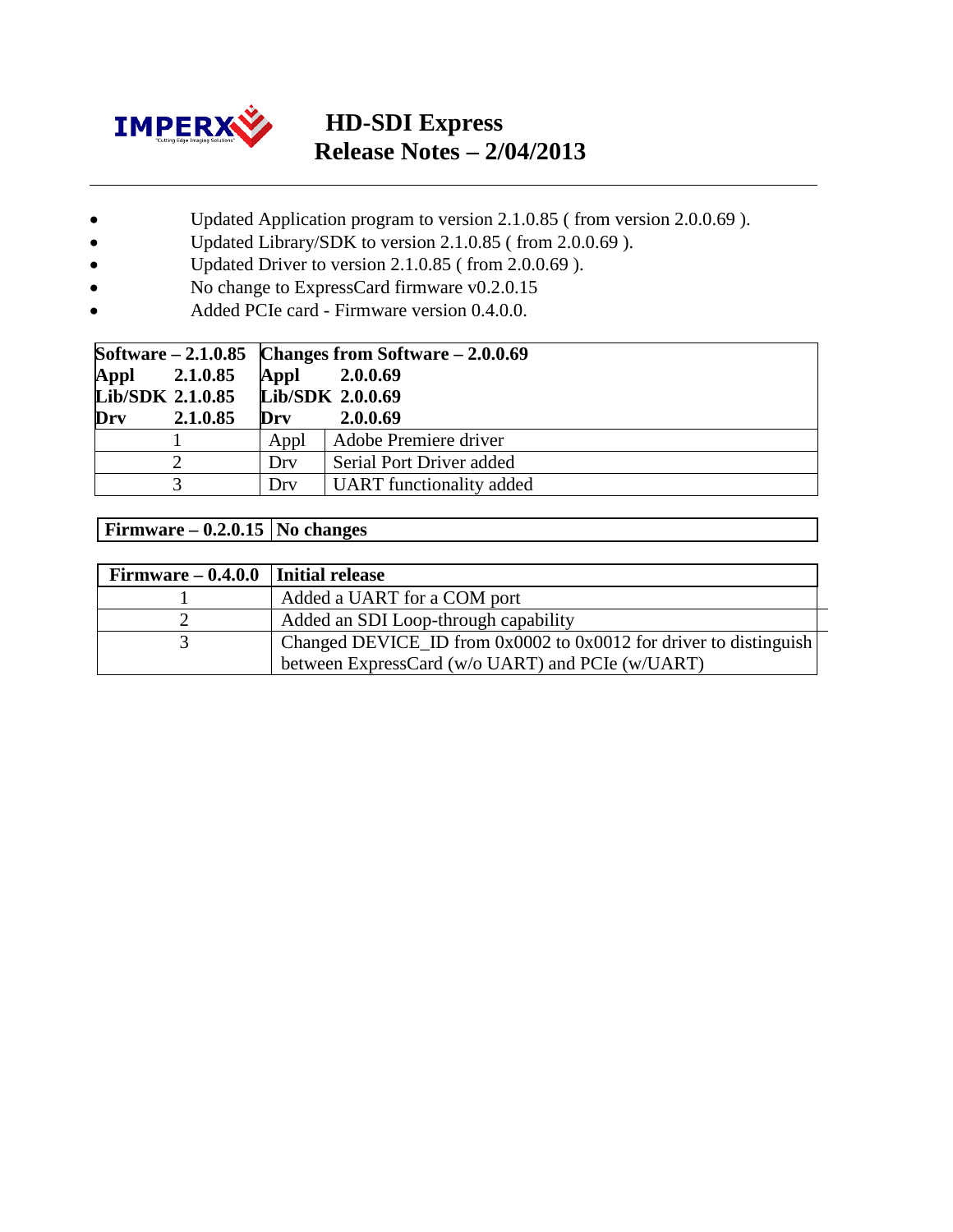

# **HD-SDI Express Release Notes – 2/04/2013**

- Updated Application program to version 2.1.0.85 ( from version 2.0.0.69 ).
- Updated Library/SDK to version 2.1.0.85 (from 2.0.0.69).
- Updated Driver to version 2.1.0.85 ( from 2.0.0.69 ).
- No change to ExpressCard firmware v0.2.0.15
- Added PCIe card Firmware version 0.4.0.0.

|                                   |          |      | Software $-2.1.0.85$ Changes from Software $-2.0.0.69$ |
|-----------------------------------|----------|------|--------------------------------------------------------|
| Appl                              | 2.1.0.85 | Appl | 2.0.0.69                                               |
| Lib/SDK 2.1.0.85 Lib/SDK 2.0.0.69 |          |      |                                                        |
| Drv                               | 2.1.0.85 | Drv  | 2.0.0.69                                               |
|                                   |          | Appl | Adobe Premiere driver                                  |
|                                   |          | Drv  | Serial Port Driver added                               |
|                                   |          | Drv  | <b>UART</b> functionality added                        |

#### **Firmware – 0.2.0.15 No changes**

| $Firmware - 0.4.0.0$ | Initial release                                                   |
|----------------------|-------------------------------------------------------------------|
|                      | Added a UART for a COM port                                       |
|                      | Added an SDI Loop-through capability                              |
|                      | Changed DEVICE_ID from 0x0002 to 0x0012 for driver to distinguish |
|                      | between ExpressCard (w/o UART) and PCIe (w/UART)                  |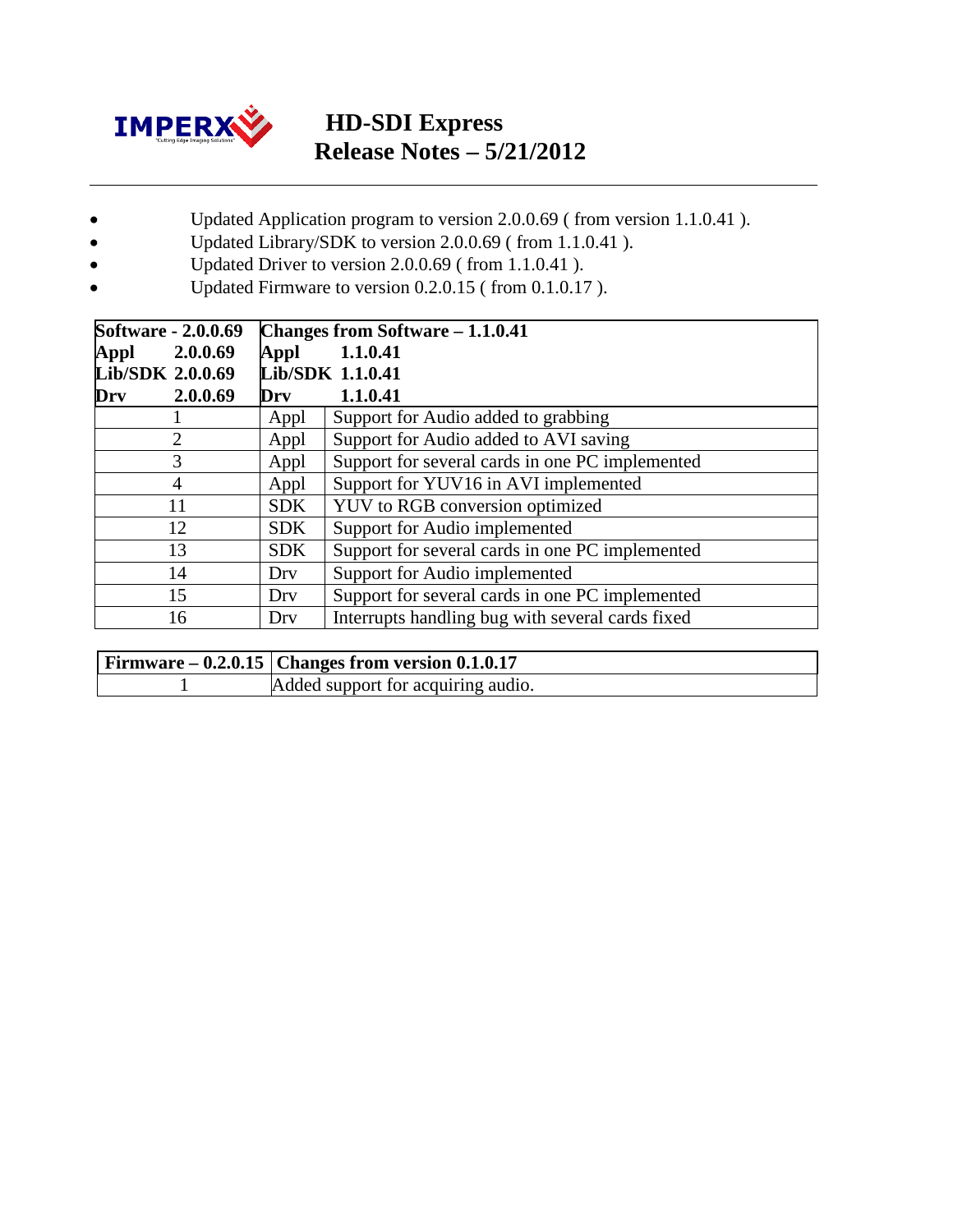

## **HD-SDI Express Release Notes – 5/21/2012**

- Updated Application program to version 2.0.0.69 ( from version 1.1.0.41 ).
- Updated Library/SDK to version 2.0.0.69 ( from 1.1.0.41 ).
- Updated Driver to version 2.0.0.69 ( from 1.1.0.41 ).
- Updated Firmware to version 0.2.0.15 (from 0.1.0.17).

| <b>Software - 2.0.0.69</b> |            | <b>Changes from Software – 1.1.0.41</b>          |
|----------------------------|------------|--------------------------------------------------|
| 2.0.0.69<br>Appl           | Appl       | 1.1.0.41                                         |
| Lib/SDK 2.0.0.69           |            | Lib/SDK 1.1.0.41                                 |
| 2.0.0.69<br>Drv            | Drv        | 1.1.0.41                                         |
|                            | Appl       | Support for Audio added to grabbing              |
| $\overline{2}$             | Appl       | Support for Audio added to AVI saving            |
| 3                          | Appl       | Support for several cards in one PC implemented  |
| 4                          | Appl       | Support for YUV16 in AVI implemented             |
| 11                         | <b>SDK</b> | YUV to RGB conversion optimized                  |
| 12                         | <b>SDK</b> | Support for Audio implemented                    |
| 13                         | <b>SDK</b> | Support for several cards in one PC implemented  |
| 14                         | Dry        | Support for Audio implemented                    |
| 15                         | Dry        | Support for several cards in one PC implemented  |
| 16                         | Dry        | Interrupts handling bug with several cards fixed |

| Firmware $-0.2.0.15$   Changes from version $0.1.0.17$ |
|--------------------------------------------------------|
| Added support for acquiring audio.                     |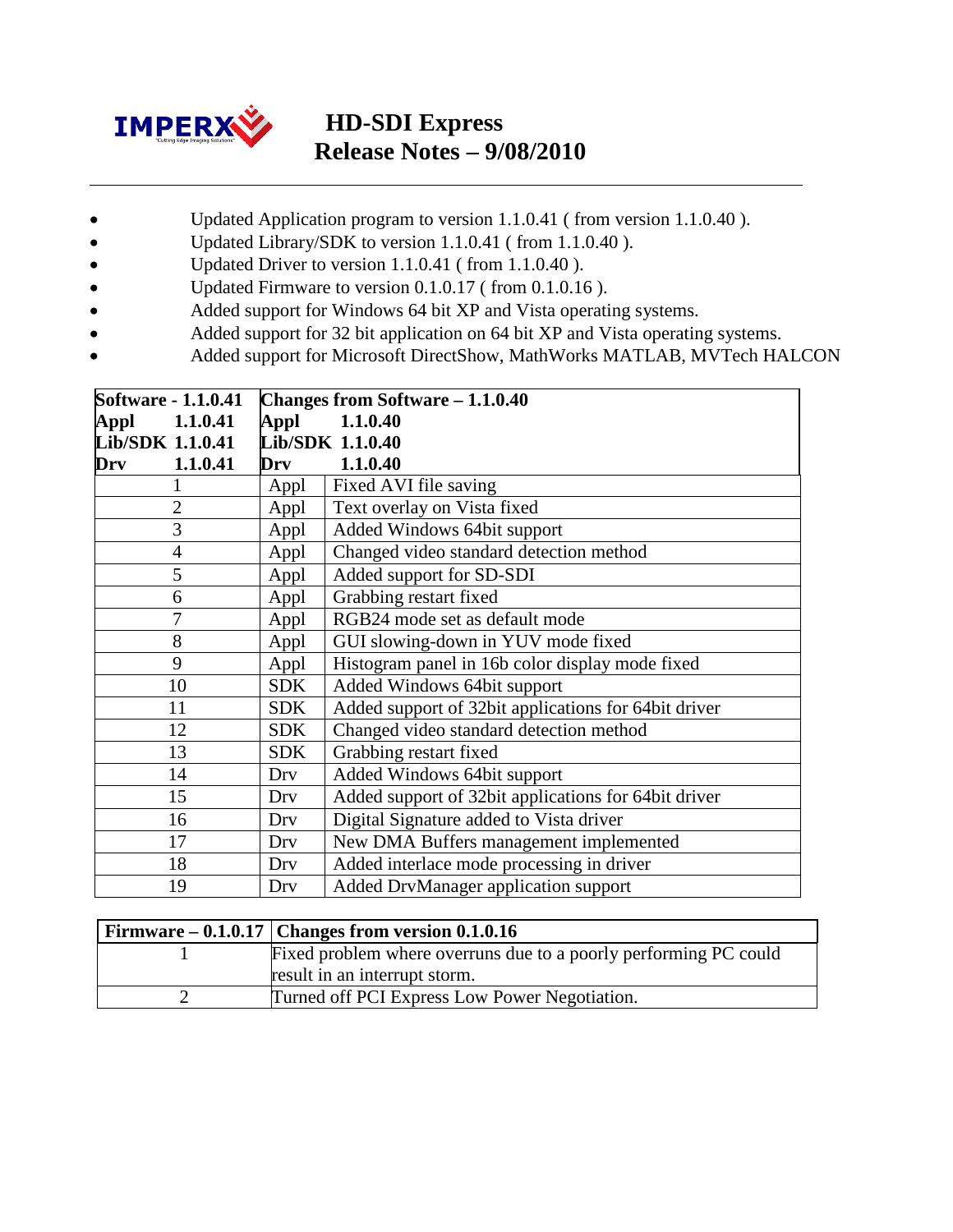

# **HD-SDI Express Release Notes – 9/08/2010**

- Updated Application program to version 1.1.0.41 ( from version 1.1.0.40 ).
- Updated Library/SDK to version 1.1.0.41 (from 1.1.0.40).
- Updated Driver to version 1.1.0.41 (from 1.1.0.40).
- Updated Firmware to version 0.1.0.17 (from 0.1.0.16).
- Added support for Windows 64 bit XP and Vista operating systems.
- Added support for 32 bit application on 64 bit XP and Vista operating systems.
- Added support for Microsoft DirectShow, MathWorks MATLAB, MVTech HALCON

| <b>Software - 1.1.0.41</b> |                  | Changes from Software - 1.1.0.40                     |
|----------------------------|------------------|------------------------------------------------------|
| 1.1.0.41<br>Appl           | Appl             | 1.1.0.40                                             |
| Lib/SDK 1.1.0.41           | Lib/SDK 1.1.0.40 |                                                      |
| 1.1.0.41<br>Drv            | Drv              | 1.1.0.40                                             |
| 1                          | Appl             | Fixed AVI file saving                                |
| $\overline{2}$             | Appl             | Text overlay on Vista fixed                          |
| $\overline{3}$             | Appl             | Added Windows 64bit support                          |
| $\overline{4}$             | Appl             | Changed video standard detection method              |
| 5                          | Appl             | Added support for SD-SDI                             |
| 6                          | Appl             | Grabbing restart fixed                               |
| $\overline{7}$             | Appl             | RGB24 mode set as default mode                       |
| 8                          | Appl             | GUI slowing-down in YUV mode fixed                   |
| 9                          | Appl             | Histogram panel in 16b color display mode fixed      |
| 10                         | <b>SDK</b>       | Added Windows 64bit support                          |
| 11                         | <b>SDK</b>       | Added support of 32bit applications for 64bit driver |
| 12                         | <b>SDK</b>       | Changed video standard detection method              |
| 13                         | <b>SDK</b>       | Grabbing restart fixed                               |
| 14                         | Drv              | Added Windows 64bit support                          |
| 15                         | Drv              | Added support of 32bit applications for 64bit driver |
| 16                         | Drv              | Digital Signature added to Vista driver              |
| 17                         | Dry              | New DMA Buffers management implemented               |
| 18                         | Drv              | Added interlace mode processing in driver            |
| 19                         | Dry              | Added DrvManager application support                 |

| Firmware $-0.1.0.17$ Changes from version 0.1.0.16               |
|------------------------------------------------------------------|
| Fixed problem where overruns due to a poorly performing PC could |
| result in an interrupt storm.                                    |
| Turned off PCI Express Low Power Negotiation.                    |